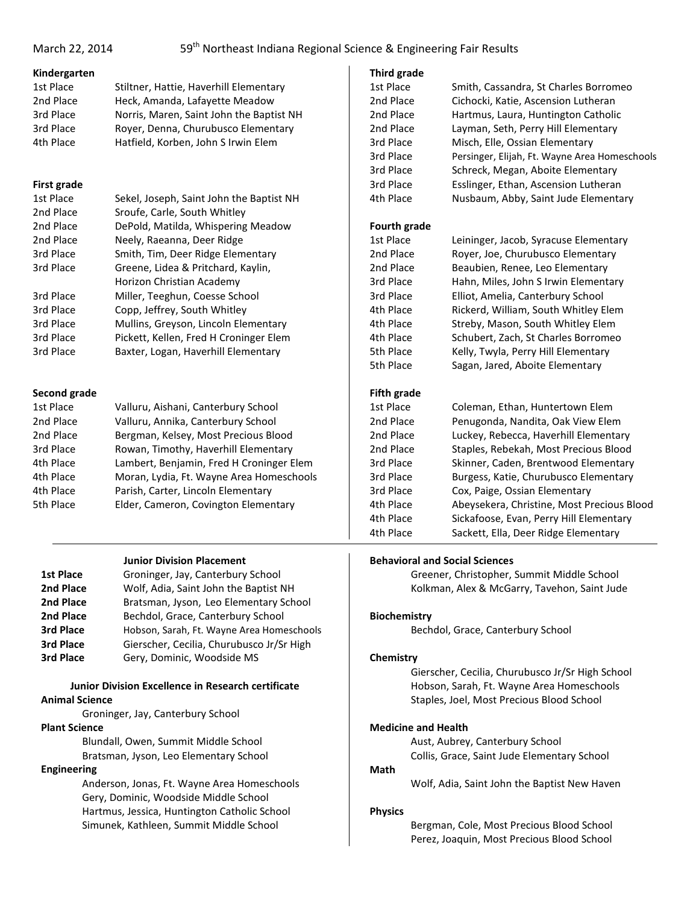## **Kindergarten**

| 1st Place | Stiltner, Hattie, Haverhill Elementary   |
|-----------|------------------------------------------|
| 2nd Place | Heck, Amanda, Lafayette Meadow           |
| 3rd Place | Norris, Maren, Saint John the Baptist NH |
| 3rd Place | Royer, Denna, Churubusco Elementary      |
| 4th Place | Hatfield, Korben, John S Irwin Elem      |

## **First grade**

| 1st Place | Sekel, Joseph, Saint John the Baptist NH |
|-----------|------------------------------------------|
| 2nd Place | Sroufe, Carle, South Whitley             |
| 2nd Place | DePold, Matilda, Whispering Meadow       |
| 2nd Place | Neely, Raeanna, Deer Ridge               |
| 3rd Place | Smith, Tim, Deer Ridge Elementary        |
| 3rd Place | Greene, Lidea & Pritchard, Kaylin,       |
|           | Horizon Christian Academy                |
| 3rd Place | Miller, Teeghun, Coesse School           |
| 3rd Place | Copp, Jeffrey, South Whitley             |
| 3rd Place | Mullins, Greyson, Lincoln Elementary     |
| 3rd Place | Pickett, Kellen, Fred H Croninger Elem   |
| 3rd Place | Baxter, Logan, Haverhill Elementary      |

## **Second grade**

| 1st Place | Valluru, Aishani, Canterbury School      |
|-----------|------------------------------------------|
| 2nd Place | Valluru, Annika, Canterbury School       |
| 2nd Place | Bergman, Kelsey, Most Precious Blood     |
| 3rd Place | Rowan, Timothy, Haverhill Elementary     |
| 4th Place | Lambert, Benjamin, Fred H Croninger Elem |
| 4th Place | Moran, Lydia, Ft. Wayne Area Homeschools |
| 4th Place | Parish, Carter, Lincoln Elementary       |
| 5th Place | Elder, Cameron, Covington Elementary     |

## **Junior Division Placement**

| Groninger, Jay, Canterbury School         |
|-------------------------------------------|
| Wolf, Adia, Saint John the Baptist NH     |
| Bratsman, Jyson, Leo Elementary School    |
| Bechdol, Grace, Canterbury School         |
| Hobson, Sarah, Ft. Wayne Area Homeschools |
| Gierscher, Cecilia, Churubusco Jr/Sr High |
| Gery, Dominic, Woodside MS                |
|                                           |

## **Junior Division Excellence in Research certificate Animal Science**

Groninger, Jay, Canterbury School

## **Plant Science**

Blundall, Owen, Summit Middle School Bratsman, Jyson, Leo Elementary School

## **Engineering**

Anderson, Jonas, Ft. Wayne Area Homeschools Gery, Dominic, Woodside Middle School Hartmus, Jessica, Huntington Catholic School Simunek, Kathleen, Summit Middle School

#### **Third grade**

| Third grade        |                                               |
|--------------------|-----------------------------------------------|
| 1st Place          | Smith, Cassandra, St Charles Borromeo         |
| 2nd Place          | Cichocki, Katie, Ascension Lutheran           |
| 2nd Place          | Hartmus, Laura, Huntington Catholic           |
| 2nd Place          | Layman, Seth, Perry Hill Elementary           |
| 3rd Place          | Misch, Elle, Ossian Elementary                |
| 3rd Place          | Persinger, Elijah, Ft. Wayne Area Homeschools |
| 3rd Place          | Schreck, Megan, Aboite Elementary             |
| 3rd Place          | Esslinger, Ethan, Ascension Lutheran          |
| 4th Place          | Nusbaum, Abby, Saint Jude Elementary          |
|                    |                                               |
| Fourth grade       |                                               |
| 1st Place          | Leininger, Jacob, Syracuse Elementary         |
| 2nd Place          | Royer, Joe, Churubusco Elementary             |
| 2nd Place          | Beaubien, Renee, Leo Elementary               |
| 3rd Place          | Hahn, Miles, John S Irwin Elementary          |
| 3rd Place          | Elliot, Amelia, Canterbury School             |
| 4th Place          | Rickerd, William, South Whitley Elem          |
| 4th Place          | Streby, Mason, South Whitley Elem             |
| 4th Place          | Schubert, Zach, St Charles Borromeo           |
| 5th Place          | Kelly, Twyla, Perry Hill Elementary           |
| 5th Place          | Sagan, Jared, Aboite Elementary               |
|                    |                                               |
| <b>Fifth grade</b> |                                               |
| 1st Place          | Coleman, Ethan, Huntertown Elem               |
| 2nd Place          | Penugonda, Nandita, Oak View Elem             |
| 2nd Place          | Luckey, Rebecca, Haverhill Elementary         |
| 2nd Place          | Staples, Rebekah, Most Precious Blood         |
| 3rd Place          | Skinner, Caden, Brentwood Elementary          |
| 3rd Place          | Burgess, Katie, Churubusco Elementary         |
|                    |                                               |

3rd Place Cox, Paige, Ossian Elementary 4th Place Abeysekera, Christine, Most Precious Blood 4th Place Sickafoose, Evan, Perry Hill Elementary 4th Place Sackett, Ella, Deer Ridge Elementary

## **Behavioral and Social Sciences**

Greener, Christopher, Summit Middle School Kolkman, Alex & McGarry, Tavehon, Saint Jude

#### **Biochemistry**

Bechdol, Grace, Canterbury School

## **Chemistry**

Gierscher, Cecilia, Churubusco Jr/Sr High School Hobson, Sarah, Ft. Wayne Area Homeschools Staples, Joel, Most Precious Blood School

## **Medicine and Health**

Aust, Aubrey, Canterbury School Collis, Grace, Saint Jude Elementary School

**Math**

Wolf, Adia, Saint John the Baptist New Haven

#### **Physics**

Bergman, Cole, Most Precious Blood School Perez, Joaquin, Most Precious Blood School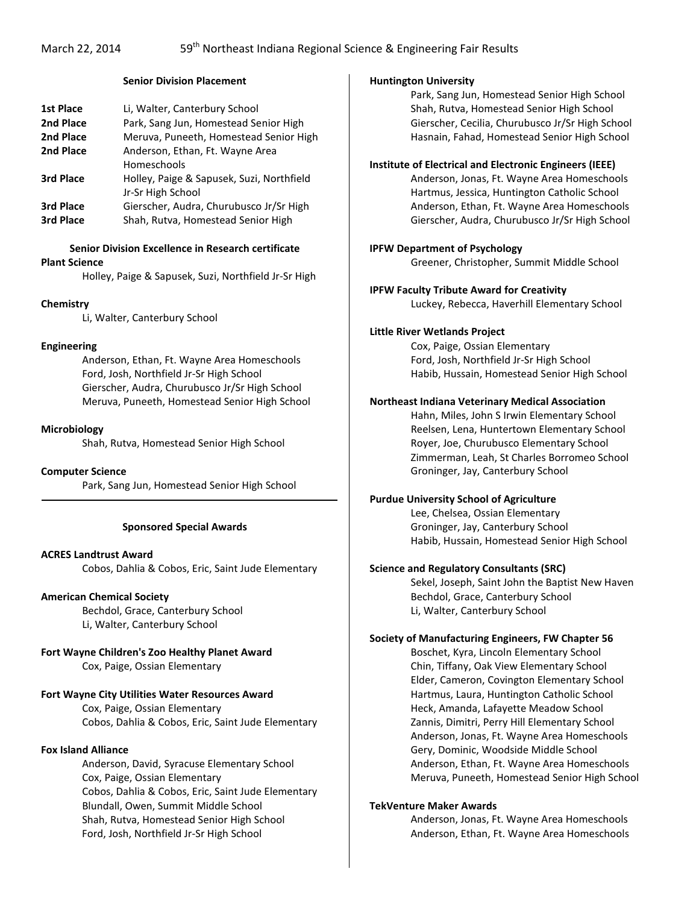#### **Senior Division Placement**

| <b>1st Place</b> | Li, Walter, Canterbury School             |
|------------------|-------------------------------------------|
| 2nd Place        | Park, Sang Jun, Homestead Senior High     |
| 2nd Place        | Meruva, Puneeth, Homestead Senior High    |
| 2nd Place        | Anderson, Ethan, Ft. Wayne Area           |
|                  | Homeschools                               |
| 3rd Place        | Holley, Paige & Sapusek, Suzi, Northfield |
|                  | Jr-Sr High School                         |
| 3rd Place        | Gierscher, Audra, Churubusco Jr/Sr High   |
| 3rd Place        | Shah, Rutva, Homestead Senior High        |
|                  |                                           |

## **Senior Division Excellence in Research certificate**

#### **Plant Science**

Holley, Paige & Sapusek, Suzi, Northfield Jr-Sr High

## **Chemistry**

Li, Walter, Canterbury School

## **Engineering**

Anderson, Ethan, Ft. Wayne Area Homeschools Ford, Josh, Northfield Jr-Sr High School Gierscher, Audra, Churubusco Jr/Sr High School Meruva, Puneeth, Homestead Senior High School

#### **Microbiology**

Shah, Rutva, Homestead Senior High School

#### **Computer Science**

Park, Sang Jun, Homestead Senior High School

#### **Sponsored Special Awards**

#### **ACRES Landtrust Award**

Cobos, Dahlia & Cobos, Eric, Saint Jude Elementary

## **American Chemical Society**

Bechdol, Grace, Canterbury School Li, Walter, Canterbury School

# **Fort Wayne Children's Zoo Healthy Planet Award**

Cox, Paige, Ossian Elementary

## **Fort Wayne City Utilities Water Resources Award**

Cox, Paige, Ossian Elementary Cobos, Dahlia & Cobos, Eric, Saint Jude Elementary

#### **Fox Island Alliance**

Anderson, David, Syracuse Elementary School Cox, Paige, Ossian Elementary Cobos, Dahlia & Cobos, Eric, Saint Jude Elementary Blundall, Owen, Summit Middle School Shah, Rutva, Homestead Senior High School Ford, Josh, Northfield Jr-Sr High School

#### **Huntington University**

Park, Sang Jun, Homestead Senior High School Shah, Rutva, Homestead Senior High School Gierscher, Cecilia, Churubusco Jr/Sr High School Hasnain, Fahad, Homestead Senior High School

#### **Institute of Electrical and Electronic Engineers (IEEE)**

Anderson, Jonas, Ft. Wayne Area Homeschools Hartmus, Jessica, Huntington Catholic School Anderson, Ethan, Ft. Wayne Area Homeschools Gierscher, Audra, Churubusco Jr/Sr High School

#### **IPFW Department of Psychology**

Greener, Christopher, Summit Middle School

## **IPFW Faculty Tribute Award for Creativity**

Luckey, Rebecca, Haverhill Elementary School

#### **Little River Wetlands Project**

Cox, Paige, Ossian Elementary Ford, Josh, Northfield Jr-Sr High School Habib, Hussain, Homestead Senior High School

#### **Northeast Indiana Veterinary Medical Association**

Hahn, Miles, John S Irwin Elementary School Reelsen, Lena, Huntertown Elementary School Royer, Joe, Churubusco Elementary School Zimmerman, Leah, St Charles Borromeo School Groninger, Jay, Canterbury School

#### **Purdue University School of Agriculture**

Lee, Chelsea, Ossian Elementary Groninger, Jay, Canterbury School Habib, Hussain, Homestead Senior High School

#### **Science and Regulatory Consultants (SRC)**

Sekel, Joseph, Saint John the Baptist New Haven Bechdol, Grace, Canterbury School Li, Walter, Canterbury School

### **Society of Manufacturing Engineers, FW Chapter 56**

Boschet, Kyra, Lincoln Elementary School Chin, Tiffany, Oak View Elementary School Elder, Cameron, Covington Elementary School Hartmus, Laura, Huntington Catholic School Heck, Amanda, Lafayette Meadow School Zannis, Dimitri, Perry Hill Elementary School Anderson, Jonas, Ft. Wayne Area Homeschools Gery, Dominic, Woodside Middle School Anderson, Ethan, Ft. Wayne Area Homeschools Meruva, Puneeth, Homestead Senior High School

#### **TekVenture Maker Awards**

Anderson, Jonas, Ft. Wayne Area Homeschools Anderson, Ethan, Ft. Wayne Area Homeschools